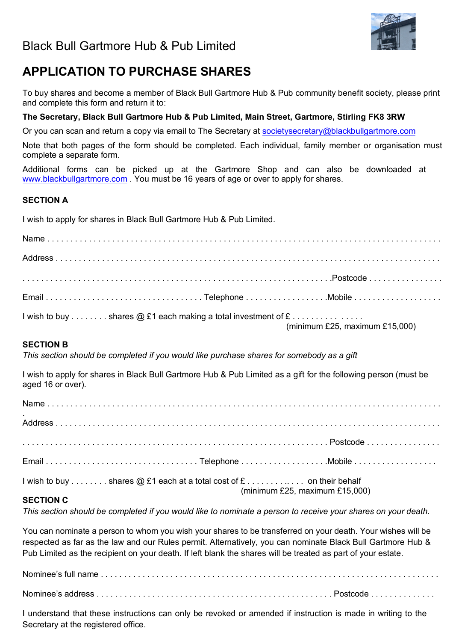

# **APPLICATION TO PURCHASE SHARES**

To buy shares and become a member of Black Bull Gartmore Hub & Pub community benefit society, please print and complete this form and return it to:

### **The Secretary, Black Bull Gartmore Hub & Pub Limited, Main Street, Gartmore, Stirling FK8 3RW**

Or you can scan and return a copy via email to The Secretary at societysecretary@blackbullgartmore.com

Note that both pages of the form should be completed. Each individual, family member or organisation must complete a separate form.

Additional forms can be picked up at the Gartmore Shop and can also be downloaded at www.blackbullgartmore.com . You must be 16 years of age or over to apply for shares.

### **SECTION A**

I wish to apply for shares in Black Bull Gartmore Hub & Pub Limited.

| I wish to buy shares $@$ £1 each making a total investment of $£$ | (minimum £25, maximum £15,000) |
|-------------------------------------------------------------------|--------------------------------|

### **SECTION B**

*This section should be completed if you would like purchase shares for somebody as a gift*

I wish to apply for shares in Black Bull Gartmore Hub & Pub Limited as a gift for the following person (must be aged 16 or over).

| $\bullet$                                                               |                                |  |
|-------------------------------------------------------------------------|--------------------------------|--|
|                                                                         |                                |  |
|                                                                         |                                |  |
| I wish to buy shares $@$ £1 each at a total cost of $£$ on their behalf |                                |  |
| <b>SECTION C</b>                                                        | (minimum £25, maximum £15,000) |  |

*This section should be completed if you would like to nominate a person to receive your shares on your death.*

You can nominate a person to whom you wish your shares to be transferred on your death. Your wishes will be respected as far as the law and our Rules permit. Alternatively, you can nominate Black Bull Gartmore Hub & Pub Limited as the recipient on your death. If left blank the shares will be treated as part of your estate.

Nominee's full name . . . . . . . . . . . . . . . . . . . . . . . . . . . . . . . . . . . . . . . . . . . . . . . . . . . . . . . . . . . . . . . . . . . . . . . . . Nominee's address . . . . . . . . . . . . . . . . . . . . . . . . . . . . . . . . . . . . . . . . . . . . . . . . . . . Postcode . . . . . . . . . . . . . .

I understand that these instructions can only be revoked or amended if instruction is made in writing to the Secretary at the registered office.